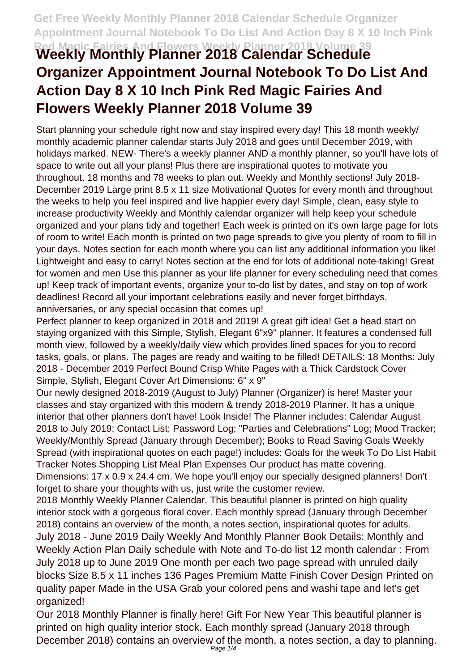## **Red Magic Fairies And Flowers Weekly Planner 2018 Volume 39 Weekly Monthly Planner 2018 Calendar Schedule Organizer Appointment Journal Notebook To Do List And Action Day 8 X 10 Inch Pink Red Magic Fairies And Flowers Weekly Planner 2018 Volume 39**

Start planning your schedule right now and stay inspired every day! This 18 month weekly/ monthly academic planner calendar starts July 2018 and goes until December 2019, with holidays marked. NEW- There's a weekly planner AND a monthly planner, so you'll have lots of space to write out all your plans! Plus there are inspirational quotes to motivate you throughout. 18 months and 78 weeks to plan out. Weekly and Monthly sections! July 2018- December 2019 Large print 8.5 x 11 size Motivational Quotes for every month and throughout the weeks to help you feel inspired and live happier every day! Simple, clean, easy style to increase productivity Weekly and Monthly calendar organizer will help keep your schedule organized and your plans tidy and together! Each week is printed on it's own large page for lots of room to write! Each month is printed on two page spreads to give you plenty of room to fill in your days. Notes section for each month where you can list any additional information you like! Lightweight and easy to carry! Notes section at the end for lots of additional note-taking! Great for women and men Use this planner as your life planner for every scheduling need that comes up! Keep track of important events, organize your to-do list by dates, and stay on top of work deadlines! Record all your important celebrations easily and never forget birthdays, anniversaries, or any special occasion that comes up!

Perfect planner to keep organized in 2018 and 2019! A great gift idea! Get a head start on staying organized with this Simple, Stylish, Elegant 6"x9" planner. It features a condensed full month view, followed by a weekly/daily view which provides lined spaces for you to record tasks, goals, or plans. The pages are ready and waiting to be filled! DETAILS: 18 Months: July 2018 - December 2019 Perfect Bound Crisp White Pages with a Thick Cardstock Cover Simple, Stylish, Elegant Cover Art Dimensions: 6" x 9"

Our newly designed 2018-2019 (August to July) Planner (Organizer) is here! Master your classes and stay organized with this modern & trendy 2018-2019 Planner. It has a unique interior that other planners don't have! Look Inside! The Planner includes: Calendar August 2018 to July 2019; Contact List; Password Log; "Parties and Celebrations" Log; Mood Tracker; Weekly/Monthly Spread (January through December); Books to Read Saving Goals Weekly Spread (with inspirational quotes on each page!) includes: Goals for the week To Do List Habit Tracker Notes Shopping List Meal Plan Expenses Our product has matte covering. Dimensions: 17 x 0.9 x 24.4 cm. We hope you'll enjoy our specially designed planners! Don't forget to share your thoughts with us, just write the customer review.

2018 Monthly Weekly Planner Calendar. This beautiful planner is printed on high quality interior stock with a gorgeous floral cover. Each monthly spread (January through December 2018) contains an overview of the month, a notes section, inspirational quotes for adults. July 2018 - June 2019 Daily Weekly And Monthly Planner Book Details: Monthly and Weekly Action Plan Daily schedule with Note and To-do list 12 month calendar : From July 2018 up to June 2019 One month per each two page spread with unruled daily blocks Size 8.5 x 11 inches 136 Pages Premium Matte Finish Cover Design Printed on quality paper Made in the USA Grab your colored pens and washi tape and let's get organized!

Our 2018 Monthly Planner is finally here! Gift For New Year This beautiful planner is printed on high quality interior stock. Each monthly spread (January 2018 through December 2018) contains an overview of the month, a notes section, a day to planning.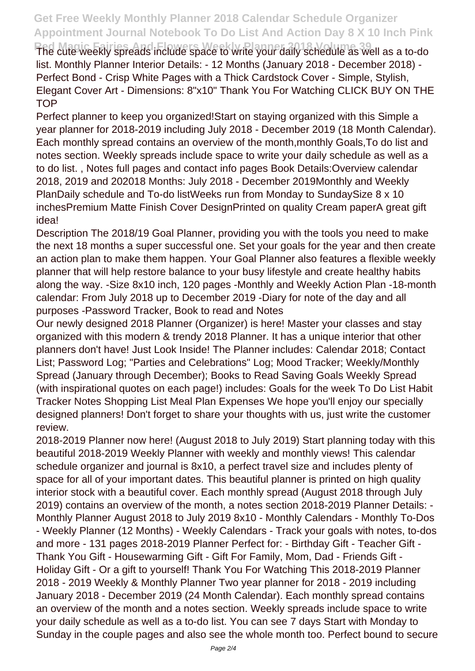## **Get Free Weekly Monthly Planner 2018 Calendar Schedule Organizer Appointment Journal Notebook To Do List And Action Day 8 X 10 Inch Pink**

**Red Magic Fairies And Flowers Weekly Planner 2018 Volume 39** The cute weekly spreads include space to write your daily schedule as well as a to-do list. Monthly Planner Interior Details: - 12 Months (January 2018 - December 2018) - Perfect Bond - Crisp White Pages with a Thick Cardstock Cover - Simple, Stylish, Elegant Cover Art - Dimensions: 8"x10" Thank You For Watching CLICK BUY ON THE **TOP** 

Perfect planner to keep you organized!Start on staying organized with this Simple a year planner for 2018-2019 including July 2018 - December 2019 (18 Month Calendar). Each monthly spread contains an overview of the month,monthly Goals,To do list and notes section. Weekly spreads include space to write your daily schedule as well as a to do list. , Notes full pages and contact info pages Book Details:Overview calendar 2018, 2019 and 202018 Months: July 2018 - December 2019Monthly and Weekly PlanDaily schedule and To-do listWeeks run from Monday to SundaySize 8 x 10 inchesPremium Matte Finish Cover DesignPrinted on quality Cream paperA great gift idea!

Description The 2018/19 Goal Planner, providing you with the tools you need to make the next 18 months a super successful one. Set your goals for the year and then create an action plan to make them happen. Your Goal Planner also features a flexible weekly planner that will help restore balance to your busy lifestyle and create healthy habits along the way. -Size 8x10 inch, 120 pages -Monthly and Weekly Action Plan -18-month calendar: From July 2018 up to December 2019 -Diary for note of the day and all purposes -Password Tracker, Book to read and Notes

Our newly designed 2018 Planner (Organizer) is here! Master your classes and stay organized with this modern & trendy 2018 Planner. It has a unique interior that other planners don't have! Just Look Inside! The Planner includes: Calendar 2018; Contact List; Password Log; "Parties and Celebrations" Log; Mood Tracker; Weekly/Monthly Spread (January through December); Books to Read Saving Goals Weekly Spread (with inspirational quotes on each page!) includes: Goals for the week To Do List Habit Tracker Notes Shopping List Meal Plan Expenses We hope you'll enjoy our specially designed planners! Don't forget to share your thoughts with us, just write the customer review.

2018-2019 Planner now here! (August 2018 to July 2019) Start planning today with this beautiful 2018-2019 Weekly Planner with weekly and monthly views! This calendar schedule organizer and journal is 8x10, a perfect travel size and includes plenty of space for all of your important dates. This beautiful planner is printed on high quality interior stock with a beautiful cover. Each monthly spread (August 2018 through July 2019) contains an overview of the month, a notes section 2018-2019 Planner Details: - Monthly Planner August 2018 to July 2019 8x10 - Monthly Calendars - Monthly To-Dos - Weekly Planner (12 Months) - Weekly Calendars - Track your goals with notes, to-dos and more - 131 pages 2018-2019 Planner Perfect for: - Birthday Gift - Teacher Gift - Thank You Gift - Housewarming Gift - Gift For Family, Mom, Dad - Friends Gift - Holiday Gift - Or a gift to yourself! Thank You For Watching This 2018-2019 Planner 2018 - 2019 Weekly & Monthly Planner Two year planner for 2018 - 2019 including January 2018 - December 2019 (24 Month Calendar). Each monthly spread contains an overview of the month and a notes section. Weekly spreads include space to write your daily schedule as well as a to-do list. You can see 7 days Start with Monday to Sunday in the couple pages and also see the whole month too. Perfect bound to secure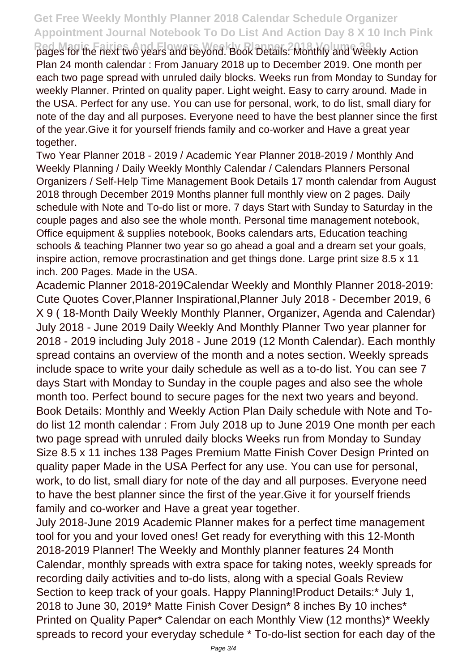## **Get Free Weekly Monthly Planner 2018 Calendar Schedule Organizer Appointment Journal Notebook To Do List And Action Day 8 X 10 Inch Pink**

**Red Magic Fairies And Flowers Weekly Planner 2018 Volume 39** pages for the next two years and beyond. Book Details: Monthly and Weekly Action Plan 24 month calendar : From January 2018 up to December 2019. One month per each two page spread with unruled daily blocks. Weeks run from Monday to Sunday for weekly Planner. Printed on quality paper. Light weight. Easy to carry around. Made in the USA. Perfect for any use. You can use for personal, work, to do list, small diary for note of the day and all purposes. Everyone need to have the best planner since the first of the year.Give it for yourself friends family and co-worker and Have a great year together.

Two Year Planner 2018 - 2019 / Academic Year Planner 2018-2019 / Monthly And Weekly Planning / Daily Weekly Monthly Calendar / Calendars Planners Personal Organizers / Self-Help Time Management Book Details 17 month calendar from August 2018 through December 2019 Months planner full monthly view on 2 pages. Daily schedule with Note and To-do list or more. 7 days Start with Sunday to Saturday in the couple pages and also see the whole month. Personal time management notebook, Office equipment & supplies notebook, Books calendars arts, Education teaching schools & teaching Planner two year so go ahead a goal and a dream set your goals, inspire action, remove procrastination and get things done. Large print size 8.5 x 11 inch. 200 Pages. Made in the USA.

Academic Planner 2018-2019Calendar Weekly and Monthly Planner 2018-2019: Cute Quotes Cover,Planner Inspirational,Planner July 2018 - December 2019, 6 X 9 ( 18-Month Daily Weekly Monthly Planner, Organizer, Agenda and Calendar) July 2018 - June 2019 Daily Weekly And Monthly Planner Two year planner for 2018 - 2019 including July 2018 - June 2019 (12 Month Calendar). Each monthly spread contains an overview of the month and a notes section. Weekly spreads include space to write your daily schedule as well as a to-do list. You can see 7 days Start with Monday to Sunday in the couple pages and also see the whole month too. Perfect bound to secure pages for the next two years and beyond. Book Details: Monthly and Weekly Action Plan Daily schedule with Note and Todo list 12 month calendar : From July 2018 up to June 2019 One month per each two page spread with unruled daily blocks Weeks run from Monday to Sunday Size 8.5 x 11 inches 138 Pages Premium Matte Finish Cover Design Printed on quality paper Made in the USA Perfect for any use. You can use for personal, work, to do list, small diary for note of the day and all purposes. Everyone need to have the best planner since the first of the year.Give it for yourself friends family and co-worker and Have a great year together.

July 2018-June 2019 Academic Planner makes for a perfect time management tool for you and your loved ones! Get ready for everything with this 12-Month 2018-2019 Planner! The Weekly and Monthly planner features 24 Month Calendar, monthly spreads with extra space for taking notes, weekly spreads for recording daily activities and to-do lists, along with a special Goals Review Section to keep track of your goals. Happy Planning!Product Details:\* July 1, 2018 to June 30, 2019\* Matte Finish Cover Design\* 8 inches By 10 inches\* Printed on Quality Paper\* Calendar on each Monthly View (12 months)\* Weekly spreads to record your everyday schedule \* To-do-list section for each day of the